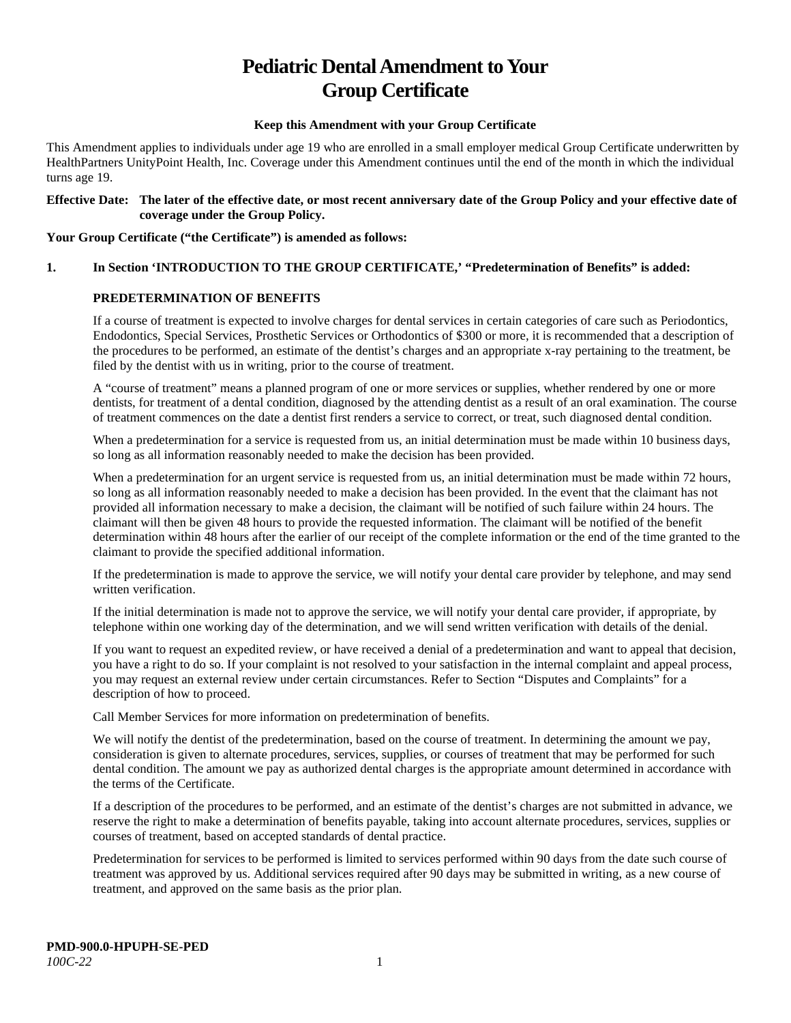# **Pediatric Dental Amendment to Your Group Certificate**

## **Keep this Amendment with your Group Certificate**

This Amendment applies to individuals under age 19 who are enrolled in a small employer medical Group Certificate underwritten by HealthPartners UnityPoint Health, Inc. Coverage under this Amendment continues until the end of the month in which the individual turns age 19.

## **Effective Date: The later of the effective date, or most recent anniversary date of the Group Policy and your effective date of coverage under the Group Policy.**

## **Your Group Certificate ("the Certificate") is amended as follows:**

## **1. In Section 'INTRODUCTION TO THE GROUP CERTIFICATE,' "Predetermination of Benefits" is added:**

## **PREDETERMINATION OF BENEFITS**

If a course of treatment is expected to involve charges for dental services in certain categories of care such as Periodontics, Endodontics, Special Services, Prosthetic Services or Orthodontics of \$300 or more, it is recommended that a description of the procedures to be performed, an estimate of the dentist's charges and an appropriate x-ray pertaining to the treatment, be filed by the dentist with us in writing, prior to the course of treatment.

A "course of treatment" means a planned program of one or more services or supplies, whether rendered by one or more dentists, for treatment of a dental condition, diagnosed by the attending dentist as a result of an oral examination. The course of treatment commences on the date a dentist first renders a service to correct, or treat, such diagnosed dental condition.

When a predetermination for a service is requested from us, an initial determination must be made within 10 business days, so long as all information reasonably needed to make the decision has been provided.

When a predetermination for an urgent service is requested from us, an initial determination must be made within 72 hours, so long as all information reasonably needed to make a decision has been provided. In the event that the claimant has not provided all information necessary to make a decision, the claimant will be notified of such failure within 24 hours. The claimant will then be given 48 hours to provide the requested information. The claimant will be notified of the benefit determination within 48 hours after the earlier of our receipt of the complete information or the end of the time granted to the claimant to provide the specified additional information.

If the predetermination is made to approve the service, we will notify your dental care provider by telephone, and may send written verification.

If the initial determination is made not to approve the service, we will notify your dental care provider, if appropriate, by telephone within one working day of the determination, and we will send written verification with details of the denial.

If you want to request an expedited review, or have received a denial of a predetermination and want to appeal that decision, you have a right to do so. If your complaint is not resolved to your satisfaction in the internal complaint and appeal process, you may request an external review under certain circumstances. Refer to Section "Disputes and Complaints" for a description of how to proceed.

Call Member Services for more information on predetermination of benefits.

We will notify the dentist of the predetermination, based on the course of treatment. In determining the amount we pay, consideration is given to alternate procedures, services, supplies, or courses of treatment that may be performed for such dental condition. The amount we pay as authorized dental charges is the appropriate amount determined in accordance with the terms of the Certificate.

If a description of the procedures to be performed, and an estimate of the dentist's charges are not submitted in advance, we reserve the right to make a determination of benefits payable, taking into account alternate procedures, services, supplies or courses of treatment, based on accepted standards of dental practice.

Predetermination for services to be performed is limited to services performed within 90 days from the date such course of treatment was approved by us. Additional services required after 90 days may be submitted in writing, as a new course of treatment, and approved on the same basis as the prior plan.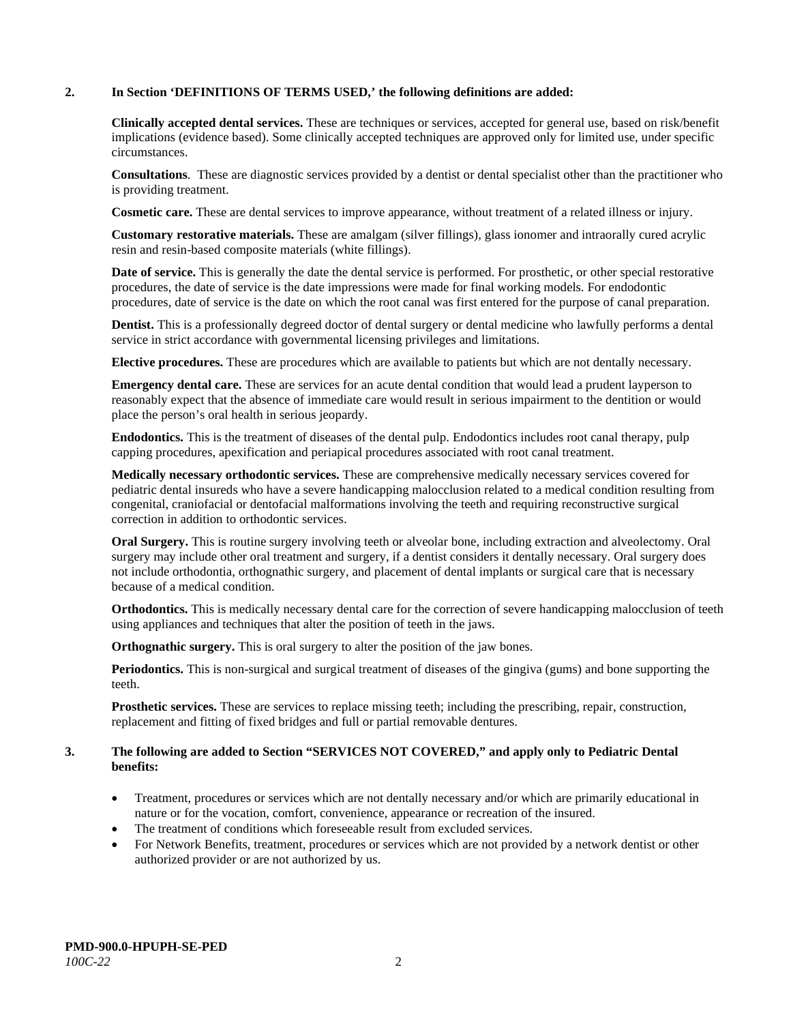## **2. In Section 'DEFINITIONS OF TERMS USED,' the following definitions are added:**

**Clinically accepted dental services.** These are techniques or services, accepted for general use, based on risk/benefit implications (evidence based). Some clinically accepted techniques are approved only for limited use, under specific circumstances.

**Consultations**. These are diagnostic services provided by a dentist or dental specialist other than the practitioner who is providing treatment.

**Cosmetic care.** These are dental services to improve appearance, without treatment of a related illness or injury.

**Customary restorative materials.** These are amalgam (silver fillings), glass ionomer and intraorally cured acrylic resin and resin-based composite materials (white fillings).

**Date of service.** This is generally the date the dental service is performed. For prosthetic, or other special restorative procedures, the date of service is the date impressions were made for final working models. For endodontic procedures, date of service is the date on which the root canal was first entered for the purpose of canal preparation.

**Dentist.** This is a professionally degreed doctor of dental surgery or dental medicine who lawfully performs a dental service in strict accordance with governmental licensing privileges and limitations.

**Elective procedures.** These are procedures which are available to patients but which are not dentally necessary.

**Emergency dental care.** These are services for an acute dental condition that would lead a prudent layperson to reasonably expect that the absence of immediate care would result in serious impairment to the dentition or would place the person's oral health in serious jeopardy.

**Endodontics.** This is the treatment of diseases of the dental pulp. Endodontics includes root canal therapy, pulp capping procedures, apexification and periapical procedures associated with root canal treatment.

**Medically necessary orthodontic services.** These are comprehensive medically necessary services covered for pediatric dental insureds who have a severe handicapping malocclusion related to a medical condition resulting from congenital, craniofacial or dentofacial malformations involving the teeth and requiring reconstructive surgical correction in addition to orthodontic services.

**Oral Surgery.** This is routine surgery involving teeth or alveolar bone, including extraction and alveolectomy. Oral surgery may include other oral treatment and surgery, if a dentist considers it dentally necessary. Oral surgery does not include orthodontia, orthognathic surgery, and placement of dental implants or surgical care that is necessary because of a medical condition.

**Orthodontics.** This is medically necessary dental care for the correction of severe handicapping malocclusion of teeth using appliances and techniques that alter the position of teeth in the jaws.

**Orthognathic surgery.** This is oral surgery to alter the position of the jaw bones.

**Periodontics.** This is non-surgical and surgical treatment of diseases of the gingiva (gums) and bone supporting the teeth.

**Prosthetic services.** These are services to replace missing teeth; including the prescribing, repair, construction, replacement and fitting of fixed bridges and full or partial removable dentures.

#### **3. The following are added to Section "SERVICES NOT COVERED," and apply only to Pediatric Dental benefits:**

- Treatment, procedures or services which are not dentally necessary and/or which are primarily educational in nature or for the vocation, comfort, convenience, appearance or recreation of the insured.
- The treatment of conditions which foreseeable result from excluded services.
- For Network Benefits, treatment, procedures or services which are not provided by a network dentist or other authorized provider or are not authorized by us.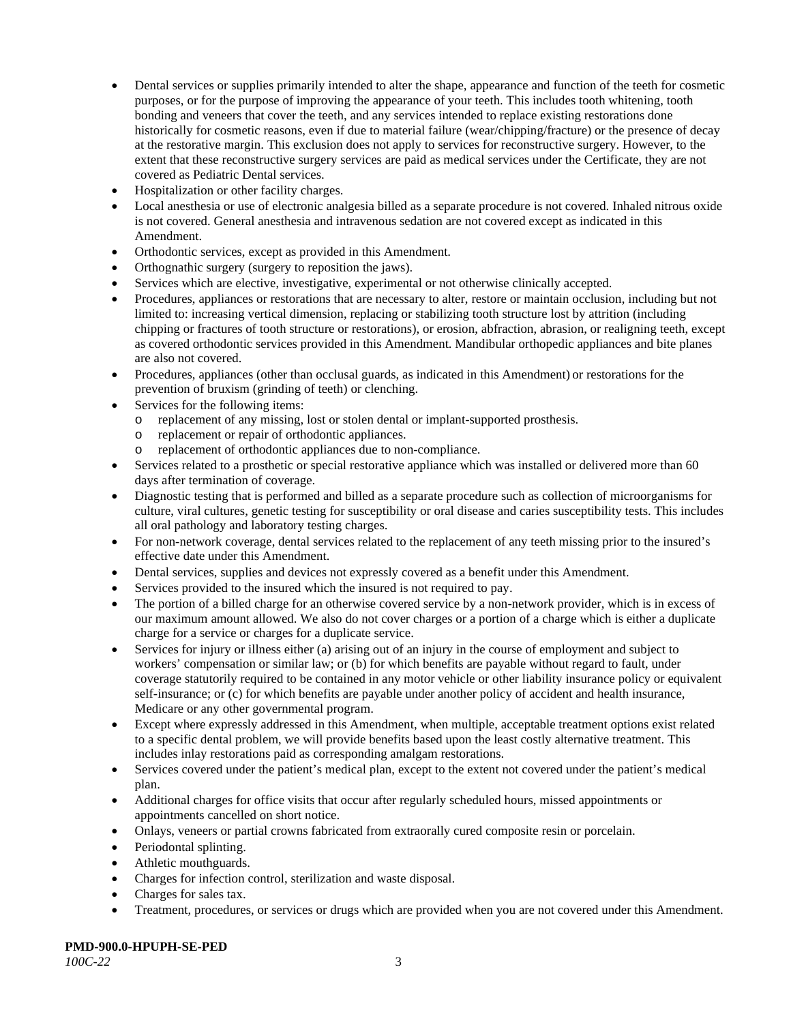- Dental services or supplies primarily intended to alter the shape, appearance and function of the teeth for cosmetic purposes, or for the purpose of improving the appearance of your teeth. This includes tooth whitening, tooth bonding and veneers that cover the teeth, and any services intended to replace existing restorations done historically for cosmetic reasons, even if due to material failure (wear/chipping/fracture) or the presence of decay at the restorative margin. This exclusion does not apply to services for reconstructive surgery. However, to the extent that these reconstructive surgery services are paid as medical services under the Certificate, they are not covered as Pediatric Dental services.
- Hospitalization or other facility charges.
- Local anesthesia or use of electronic analgesia billed as a separate procedure is not covered. Inhaled nitrous oxide is not covered. General anesthesia and intravenous sedation are not covered except as indicated in this Amendment.
- Orthodontic services, except as provided in this Amendment.
- Orthognathic surgery (surgery to reposition the jaws).
- Services which are elective, investigative, experimental or not otherwise clinically accepted.
- Procedures, appliances or restorations that are necessary to alter, restore or maintain occlusion, including but not limited to: increasing vertical dimension, replacing or stabilizing tooth structure lost by attrition (including chipping or fractures of tooth structure or restorations), or erosion, abfraction, abrasion, or realigning teeth, except as covered orthodontic services provided in this Amendment. Mandibular orthopedic appliances and bite planes are also not covered.
- Procedures, appliances (other than occlusal guards, as indicated in this Amendment) or restorations for the prevention of bruxism (grinding of teeth) or clenching.
- Services for the following items:
	- o replacement of any missing, lost or stolen dental or implant-supported prosthesis.
	- o replacement or repair of orthodontic appliances.
	- replacement of orthodontic appliances due to non-compliance.
- Services related to a prosthetic or special restorative appliance which was installed or delivered more than 60 days after termination of coverage.
- Diagnostic testing that is performed and billed as a separate procedure such as collection of microorganisms for culture, viral cultures, genetic testing for susceptibility or oral disease and caries susceptibility tests. This includes all oral pathology and laboratory testing charges.
- For non-network coverage, dental services related to the replacement of any teeth missing prior to the insured's effective date under this Amendment.
- Dental services, supplies and devices not expressly covered as a benefit under this Amendment.
- Services provided to the insured which the insured is not required to pay.
- The portion of a billed charge for an otherwise covered service by a non-network provider, which is in excess of our maximum amount allowed. We also do not cover charges or a portion of a charge which is either a duplicate charge for a service or charges for a duplicate service.
- Services for injury or illness either (a) arising out of an injury in the course of employment and subject to workers' compensation or similar law; or (b) for which benefits are payable without regard to fault, under coverage statutorily required to be contained in any motor vehicle or other liability insurance policy or equivalent self-insurance; or (c) for which benefits are payable under another policy of accident and health insurance, Medicare or any other governmental program.
- Except where expressly addressed in this Amendment, when multiple, acceptable treatment options exist related to a specific dental problem, we will provide benefits based upon the least costly alternative treatment. This includes inlay restorations paid as corresponding amalgam restorations.
- Services covered under the patient's medical plan, except to the extent not covered under the patient's medical plan.
- Additional charges for office visits that occur after regularly scheduled hours, missed appointments or appointments cancelled on short notice.
- Onlays, veneers or partial crowns fabricated from extraorally cured composite resin or porcelain.
- Periodontal splinting.
- Athletic mouthguards.
- Charges for infection control, sterilization and waste disposal.
- Charges for sales tax.
- Treatment, procedures, or services or drugs which are provided when you are not covered under this Amendment.

**PMD-900.0-HPUPH-SE-PED**

*100C-22* 3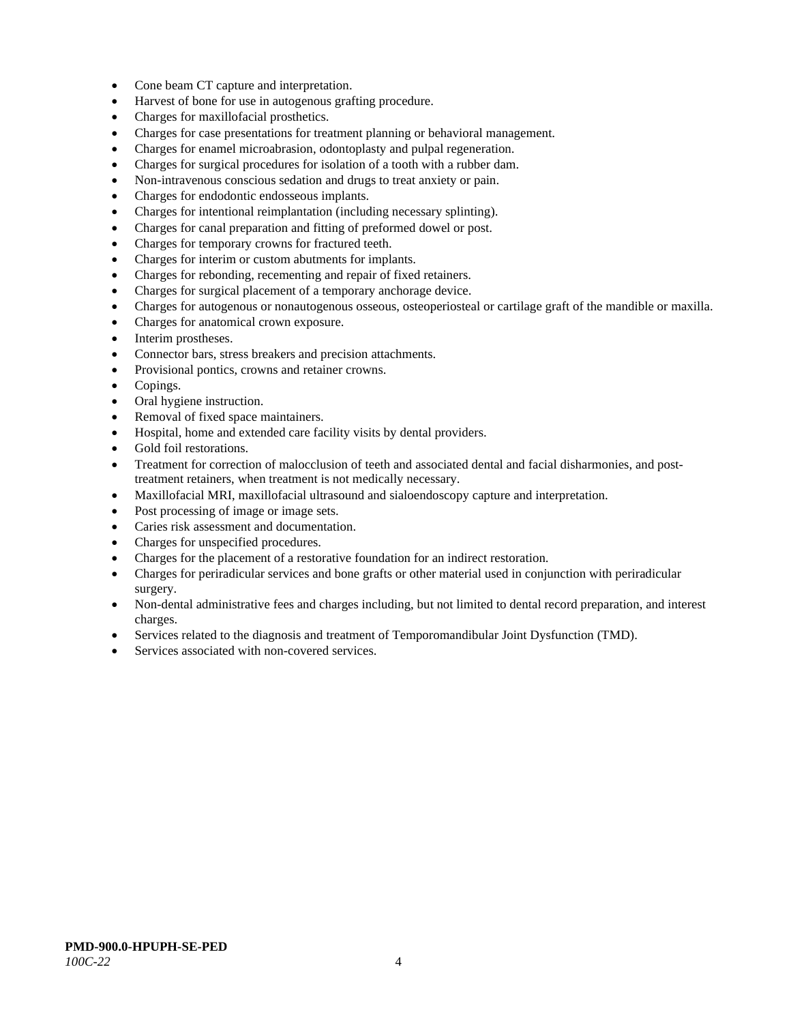- Cone beam CT capture and interpretation.
- Harvest of bone for use in autogenous grafting procedure.
- Charges for maxillofacial prosthetics.
- Charges for case presentations for treatment planning or behavioral management.
- Charges for enamel microabrasion, odontoplasty and pulpal regeneration.
- Charges for surgical procedures for isolation of a tooth with a rubber dam.
- Non-intravenous conscious sedation and drugs to treat anxiety or pain.
- Charges for endodontic endosseous implants.
- Charges for intentional reimplantation (including necessary splinting).
- Charges for canal preparation and fitting of preformed dowel or post.
- Charges for temporary crowns for fractured teeth.
- Charges for interim or custom abutments for implants.
- Charges for rebonding, recementing and repair of fixed retainers.
- Charges for surgical placement of a temporary anchorage device.
- Charges for autogenous or nonautogenous osseous, osteoperiosteal or cartilage graft of the mandible or maxilla.
- Charges for anatomical crown exposure.
- Interim prostheses.
- Connector bars, stress breakers and precision attachments.
- Provisional pontics, crowns and retainer crowns.
- Copings.
- Oral hygiene instruction.
- Removal of fixed space maintainers.
- Hospital, home and extended care facility visits by dental providers.
- Gold foil restorations.
- Treatment for correction of malocclusion of teeth and associated dental and facial disharmonies, and posttreatment retainers, when treatment is not medically necessary.
- Maxillofacial MRI, maxillofacial ultrasound and sialoendoscopy capture and interpretation.
- Post processing of image or image sets.
- Caries risk assessment and documentation.
- Charges for unspecified procedures.
- Charges for the placement of a restorative foundation for an indirect restoration.
- Charges for periradicular services and bone grafts or other material used in conjunction with periradicular surgery.
- Non-dental administrative fees and charges including, but not limited to dental record preparation, and interest charges.
- Services related to the diagnosis and treatment of Temporomandibular Joint Dysfunction (TMD).
- Services associated with non-covered services.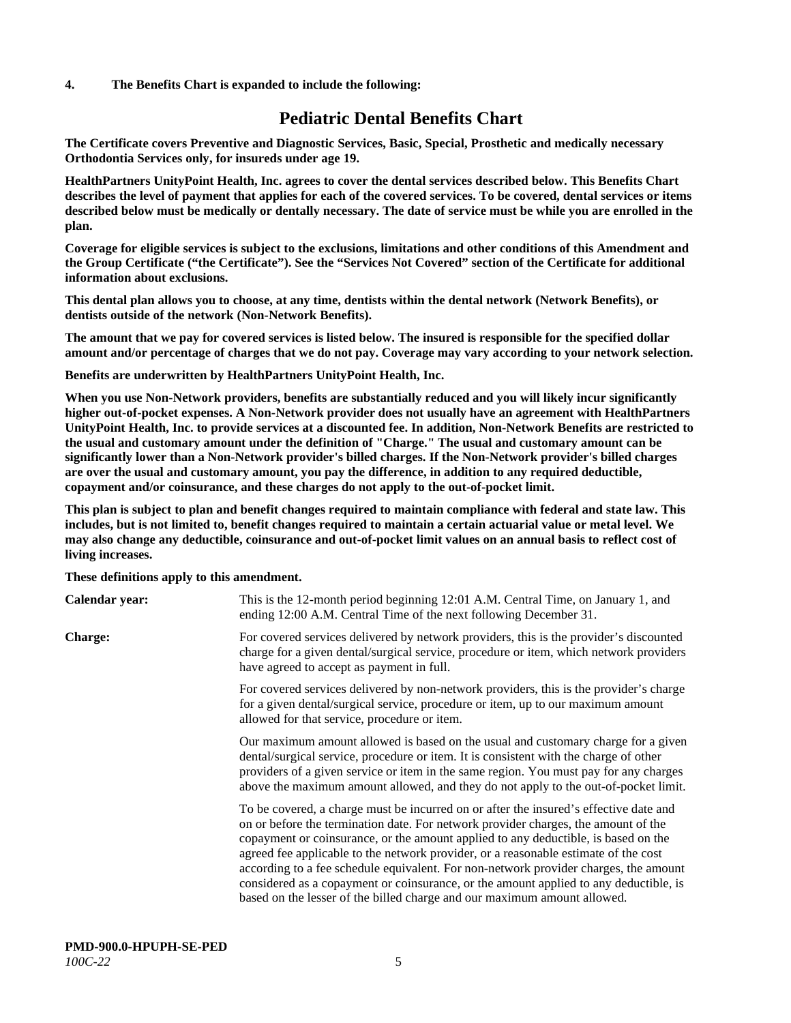## **4. The Benefits Chart is expanded to include the following:**

## **Pediatric Dental Benefits Chart**

**The Certificate covers Preventive and Diagnostic Services, Basic, Special, Prosthetic and medically necessary Orthodontia Services only, for insureds under age 19.**

**HealthPartners UnityPoint Health, Inc. agrees to cover the dental services described below. This Benefits Chart describes the level of payment that applies for each of the covered services. To be covered, dental services or items described below must be medically or dentally necessary. The date of service must be while you are enrolled in the plan.**

**Coverage for eligible services is subject to the exclusions, limitations and other conditions of this Amendment and the Group Certificate ("the Certificate"). See the "Services Not Covered" section of the Certificate for additional information about exclusions.**

**This dental plan allows you to choose, at any time, dentists within the dental network (Network Benefits), or dentists outside of the network (Non-Network Benefits).**

**The amount that we pay for covered services is listed below. The insured is responsible for the specified dollar amount and/or percentage of charges that we do not pay. Coverage may vary according to your network selection.**

**Benefits are underwritten by HealthPartners UnityPoint Health, Inc.**

**When you use Non-Network providers, benefits are substantially reduced and you will likely incur significantly higher out-of-pocket expenses. A Non-Network provider does not usually have an agreement with HealthPartners UnityPoint Health, Inc. to provide services at a discounted fee. In addition, Non-Network Benefits are restricted to the usual and customary amount under the definition of "Charge." The usual and customary amount can be significantly lower than a Non-Network provider's billed charges. If the Non-Network provider's billed charges are over the usual and customary amount, you pay the difference, in addition to any required deductible, copayment and/or coinsurance, and these charges do not apply to the out-of-pocket limit.**

**This plan is subject to plan and benefit changes required to maintain compliance with federal and state law. This includes, but is not limited to, benefit changes required to maintain a certain actuarial value or metal level. We may also change any deductible, coinsurance and out-of-pocket limit values on an annual basis to reflect cost of living increases.**

**These definitions apply to this amendment.**

| Calendar year: | This is the 12-month period beginning 12:01 A.M. Central Time, on January 1, and<br>ending 12:00 A.M. Central Time of the next following December 31.                                                                                                                                                                                                                                                                                                                                                                                                                                                                 |
|----------------|-----------------------------------------------------------------------------------------------------------------------------------------------------------------------------------------------------------------------------------------------------------------------------------------------------------------------------------------------------------------------------------------------------------------------------------------------------------------------------------------------------------------------------------------------------------------------------------------------------------------------|
| <b>Charge:</b> | For covered services delivered by network providers, this is the provider's discounted<br>charge for a given dental/surgical service, procedure or item, which network providers<br>have agreed to accept as payment in full.                                                                                                                                                                                                                                                                                                                                                                                         |
|                | For covered services delivered by non-network providers, this is the provider's charge<br>for a given dental/surgical service, procedure or item, up to our maximum amount<br>allowed for that service, procedure or item.                                                                                                                                                                                                                                                                                                                                                                                            |
|                | Our maximum amount allowed is based on the usual and customary charge for a given<br>dental/surgical service, procedure or item. It is consistent with the charge of other<br>providers of a given service or item in the same region. You must pay for any charges<br>above the maximum amount allowed, and they do not apply to the out-of-pocket limit.                                                                                                                                                                                                                                                            |
|                | To be covered, a charge must be incurred on or after the insured's effective date and<br>on or before the termination date. For network provider charges, the amount of the<br>copayment or coinsurance, or the amount applied to any deductible, is based on the<br>agreed fee applicable to the network provider, or a reasonable estimate of the cost<br>according to a fee schedule equivalent. For non-network provider charges, the amount<br>considered as a copayment or coinsurance, or the amount applied to any deductible, is<br>based on the lesser of the billed charge and our maximum amount allowed. |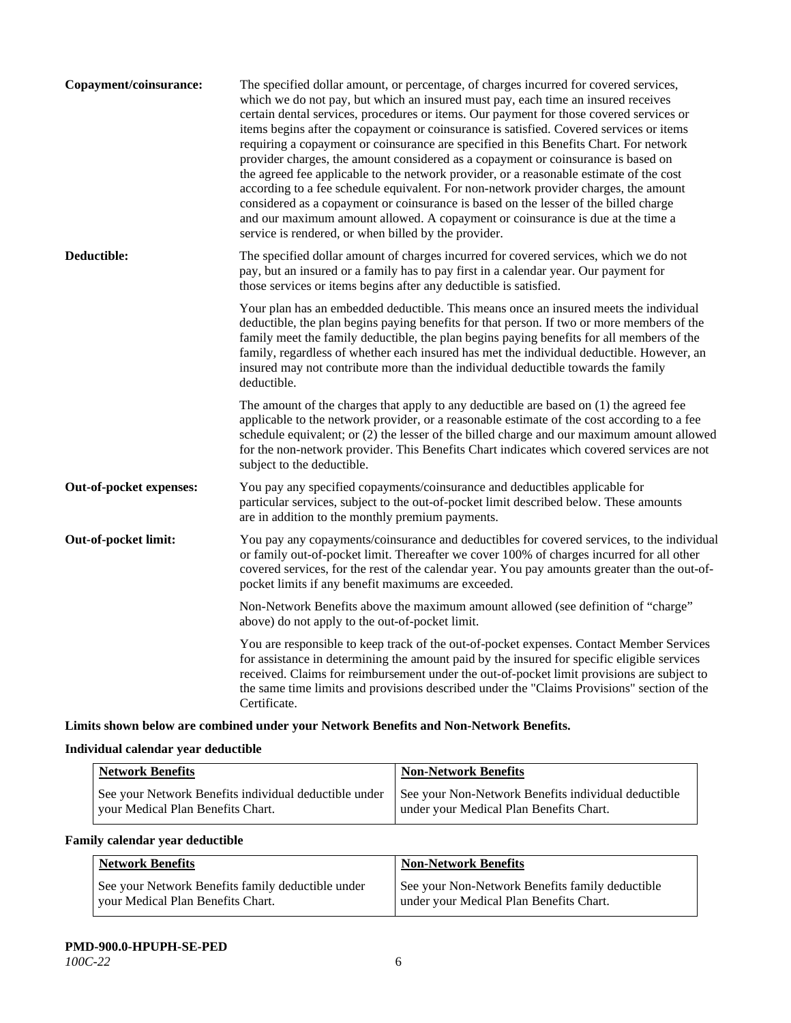| Copayment/coinsurance:  | The specified dollar amount, or percentage, of charges incurred for covered services,<br>which we do not pay, but which an insured must pay, each time an insured receives<br>certain dental services, procedures or items. Our payment for those covered services or<br>items begins after the copayment or coinsurance is satisfied. Covered services or items<br>requiring a copayment or coinsurance are specified in this Benefits Chart. For network<br>provider charges, the amount considered as a copayment or coinsurance is based on<br>the agreed fee applicable to the network provider, or a reasonable estimate of the cost<br>according to a fee schedule equivalent. For non-network provider charges, the amount<br>considered as a copayment or coinsurance is based on the lesser of the billed charge<br>and our maximum amount allowed. A copayment or coinsurance is due at the time a<br>service is rendered, or when billed by the provider. |
|-------------------------|-----------------------------------------------------------------------------------------------------------------------------------------------------------------------------------------------------------------------------------------------------------------------------------------------------------------------------------------------------------------------------------------------------------------------------------------------------------------------------------------------------------------------------------------------------------------------------------------------------------------------------------------------------------------------------------------------------------------------------------------------------------------------------------------------------------------------------------------------------------------------------------------------------------------------------------------------------------------------|
| Deductible:             | The specified dollar amount of charges incurred for covered services, which we do not<br>pay, but an insured or a family has to pay first in a calendar year. Our payment for<br>those services or items begins after any deductible is satisfied.                                                                                                                                                                                                                                                                                                                                                                                                                                                                                                                                                                                                                                                                                                                    |
|                         | Your plan has an embedded deductible. This means once an insured meets the individual<br>deductible, the plan begins paying benefits for that person. If two or more members of the<br>family meet the family deductible, the plan begins paying benefits for all members of the<br>family, regardless of whether each insured has met the individual deductible. However, an<br>insured may not contribute more than the individual deductible towards the family<br>deductible.                                                                                                                                                                                                                                                                                                                                                                                                                                                                                     |
|                         | The amount of the charges that apply to any deductible are based on (1) the agreed fee<br>applicable to the network provider, or a reasonable estimate of the cost according to a fee<br>schedule equivalent; or (2) the lesser of the billed charge and our maximum amount allowed<br>for the non-network provider. This Benefits Chart indicates which covered services are not<br>subject to the deductible.                                                                                                                                                                                                                                                                                                                                                                                                                                                                                                                                                       |
| Out-of-pocket expenses: | You pay any specified copayments/coinsurance and deductibles applicable for<br>particular services, subject to the out-of-pocket limit described below. These amounts<br>are in addition to the monthly premium payments.                                                                                                                                                                                                                                                                                                                                                                                                                                                                                                                                                                                                                                                                                                                                             |
| Out-of-pocket limit:    | You pay any copayments/coinsurance and deductibles for covered services, to the individual<br>or family out-of-pocket limit. Thereafter we cover 100% of charges incurred for all other<br>covered services, for the rest of the calendar year. You pay amounts greater than the out-of-<br>pocket limits if any benefit maximums are exceeded.                                                                                                                                                                                                                                                                                                                                                                                                                                                                                                                                                                                                                       |
|                         | Non-Network Benefits above the maximum amount allowed (see definition of "charge"<br>above) do not apply to the out-of-pocket limit.                                                                                                                                                                                                                                                                                                                                                                                                                                                                                                                                                                                                                                                                                                                                                                                                                                  |
|                         | You are responsible to keep track of the out-of-pocket expenses. Contact Member Services<br>for assistance in determining the amount paid by the insured for specific eligible services<br>received. Claims for reimbursement under the out-of-pocket limit provisions are subject to<br>the same time limits and provisions described under the "Claims Provisions" section of the<br>Certificate.                                                                                                                                                                                                                                                                                                                                                                                                                                                                                                                                                                   |

**Limits shown below are combined under your Network Benefits and Non-Network Benefits.**

## **Individual calendar year deductible**

| <b>Network Benefits</b>                                                                    | <b>Non-Network Benefits</b>                                                                    |
|--------------------------------------------------------------------------------------------|------------------------------------------------------------------------------------------------|
| See your Network Benefits individual deductible under<br>vour Medical Plan Benefits Chart. | See your Non-Network Benefits individual deductible<br>under your Medical Plan Benefits Chart. |

## **Family calendar year deductible**

| <b>Network Benefits</b>                                                                | <b>Non-Network Benefits</b>                                                                |
|----------------------------------------------------------------------------------------|--------------------------------------------------------------------------------------------|
| See your Network Benefits family deductible under<br>your Medical Plan Benefits Chart. | See your Non-Network Benefits family deductible<br>under your Medical Plan Benefits Chart. |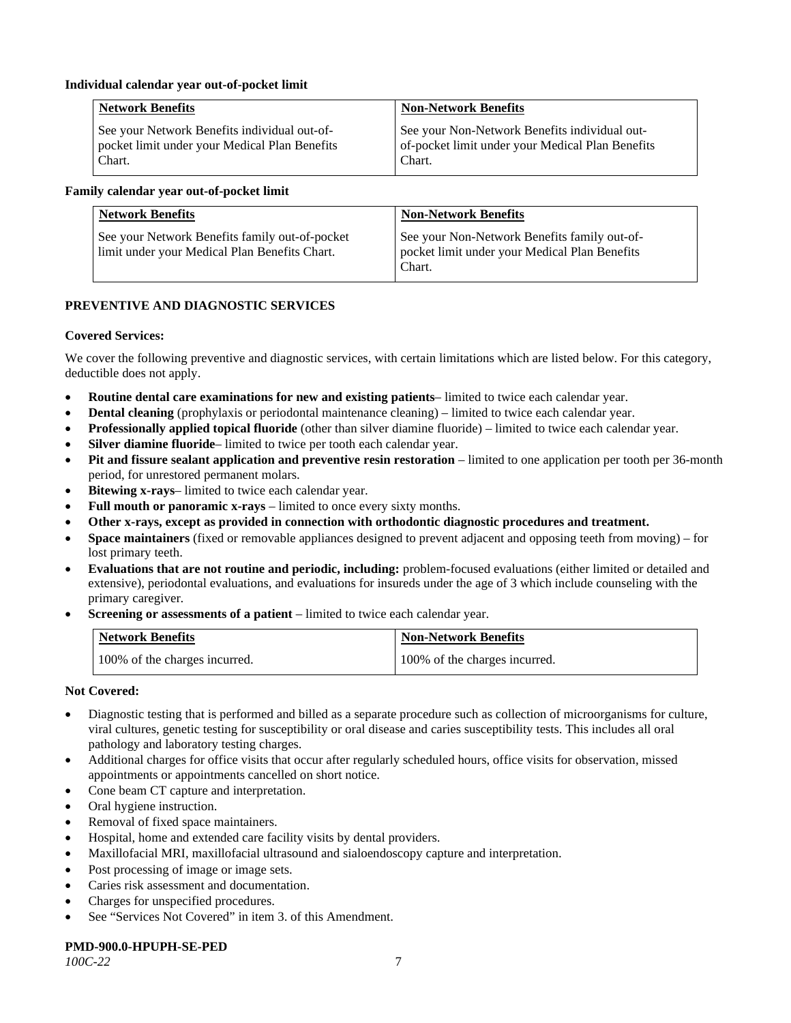## **Individual calendar year out-of-pocket limit**

| <b>Network Benefits</b>                       | <b>Non-Network Benefits</b>                      |
|-----------------------------------------------|--------------------------------------------------|
| See your Network Benefits individual out-of-  | See your Non-Network Benefits individual out-    |
| pocket limit under your Medical Plan Benefits | of-pocket limit under your Medical Plan Benefits |
| Chart.                                        | Chart.                                           |

## **Family calendar year out-of-pocket limit**

| <b>Network Benefits</b>                                                                         | <b>Non-Network Benefits</b>                                                                             |
|-------------------------------------------------------------------------------------------------|---------------------------------------------------------------------------------------------------------|
| See your Network Benefits family out-of-pocket<br>limit under your Medical Plan Benefits Chart. | See your Non-Network Benefits family out-of-<br>pocket limit under your Medical Plan Benefits<br>Chart. |

## **PREVENTIVE AND DIAGNOSTIC SERVICES**

#### **Covered Services:**

We cover the following preventive and diagnostic services, with certain limitations which are listed below. For this category, deductible does not apply.

- **Routine dental care examinations for new and existing patients** limited to twice each calendar year.
- **Dental cleaning** (prophylaxis or periodontal maintenance cleaning) limited to twice each calendar year.
- **Professionally applied topical fluoride** (other than silver diamine fluoride) limited to twice each calendar year.
- **Silver diamine fluoride** limited to twice per tooth each calendar year.
- **Pit and fissure sealant application and preventive resin restoration** limited to one application per tooth per 36-month period, for unrestored permanent molars.
- **Bitewing x-rays** limited to twice each calendar year.
- **Full mouth or panoramic x-rays** limited to once every sixty months.
- **Other x-rays, except as provided in connection with orthodontic diagnostic procedures and treatment.**
- **Space maintainers** (fixed or removable appliances designed to prevent adjacent and opposing teeth from moving) for lost primary teeth.
- **Evaluations that are not routine and periodic, including:** problem-focused evaluations (either limited or detailed and extensive), periodontal evaluations, and evaluations for insureds under the age of 3 which include counseling with the primary caregiver.
- **Screening or assessments of a patient** limited to twice each calendar year.

| <b>Network Benefits</b>       | <b>Non-Network Benefits</b>   |
|-------------------------------|-------------------------------|
| 100% of the charges incurred. | 100% of the charges incurred. |

## **Not Covered:**

- Diagnostic testing that is performed and billed as a separate procedure such as collection of microorganisms for culture, viral cultures, genetic testing for susceptibility or oral disease and caries susceptibility tests. This includes all oral pathology and laboratory testing charges.
- Additional charges for office visits that occur after regularly scheduled hours, office visits for observation, missed appointments or appointments cancelled on short notice.
- Cone beam CT capture and interpretation.
- Oral hygiene instruction.
- Removal of fixed space maintainers.
- Hospital, home and extended care facility visits by dental providers.
- Maxillofacial MRI, maxillofacial ultrasound and sialoendoscopy capture and interpretation.
- Post processing of image or image sets.
- Caries risk assessment and documentation.
- Charges for unspecified procedures.
- See "Services Not Covered" in item 3. of this Amendment.

#### **PMD-900.0-HPUPH-SE-PED**

*100C-22* 7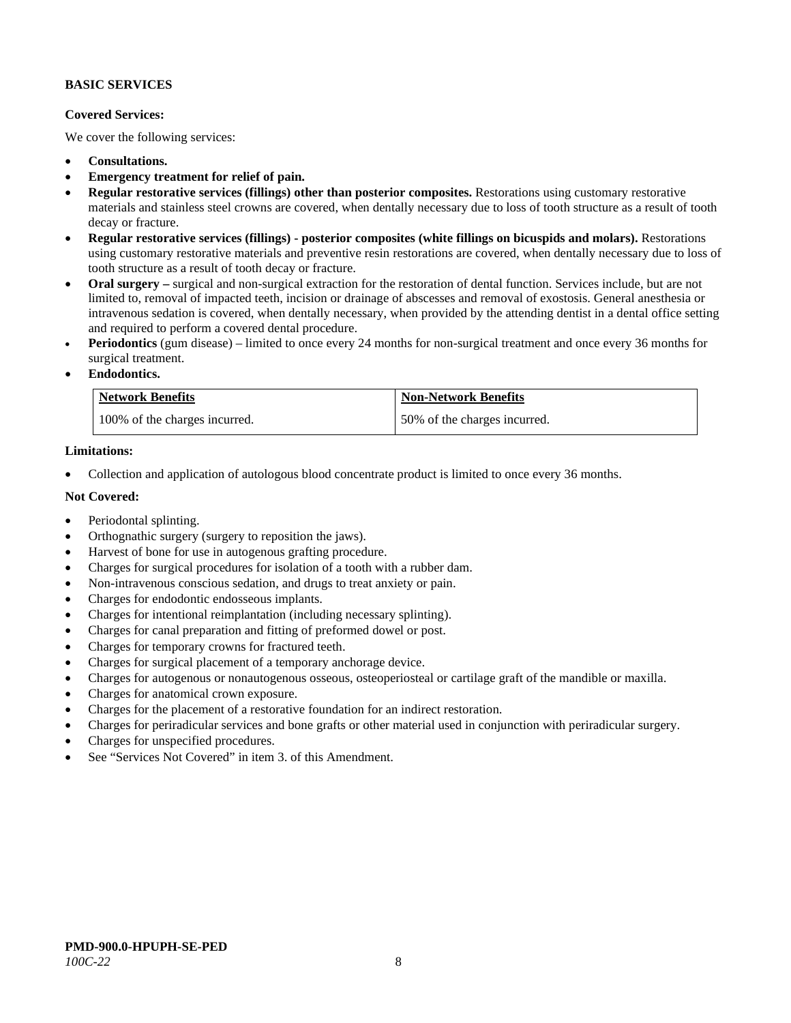## **BASIC SERVICES**

## **Covered Services:**

We cover the following services:

- **Consultations.**
- **Emergency treatment for relief of pain.**
- **Regular restorative services (fillings) other than posterior composites.** Restorations using customary restorative materials and stainless steel crowns are covered, when dentally necessary due to loss of tooth structure as a result of tooth decay or fracture.
- **Regular restorative services (fillings) - posterior composites (white fillings on bicuspids and molars).** Restorations using customary restorative materials and preventive resin restorations are covered, when dentally necessary due to loss of tooth structure as a result of tooth decay or fracture.
- **Oral surgery –** surgical and non-surgical extraction for the restoration of dental function. Services include, but are not limited to, removal of impacted teeth, incision or drainage of abscesses and removal of exostosis. General anesthesia or intravenous sedation is covered, when dentally necessary, when provided by the attending dentist in a dental office setting and required to perform a covered dental procedure.
- **Periodontics** (gum disease) limited to once every 24 months for non-surgical treatment and once every 36 months for surgical treatment.
- **Endodontics.**

| <b>Network Benefits</b>       | <b>Non-Network Benefits</b>  |
|-------------------------------|------------------------------|
| 100% of the charges incurred. | 50% of the charges incurred. |

## **Limitations:**

• Collection and application of autologous blood concentrate product is limited to once every 36 months.

#### **Not Covered:**

- Periodontal splinting.
- Orthognathic surgery (surgery to reposition the jaws).
- Harvest of bone for use in autogenous grafting procedure.
- Charges for surgical procedures for isolation of a tooth with a rubber dam.
- Non-intravenous conscious sedation, and drugs to treat anxiety or pain.
- Charges for endodontic endosseous implants.
- Charges for intentional reimplantation (including necessary splinting).
- Charges for canal preparation and fitting of preformed dowel or post.
- Charges for temporary crowns for fractured teeth.
- Charges for surgical placement of a temporary anchorage device.
- Charges for autogenous or nonautogenous osseous, osteoperiosteal or cartilage graft of the mandible or maxilla.
- Charges for anatomical crown exposure.
- Charges for the placement of a restorative foundation for an indirect restoration.
- Charges for periradicular services and bone grafts or other material used in conjunction with periradicular surgery.
- Charges for unspecified procedures.
- See "Services Not Covered" in item 3. of this Amendment.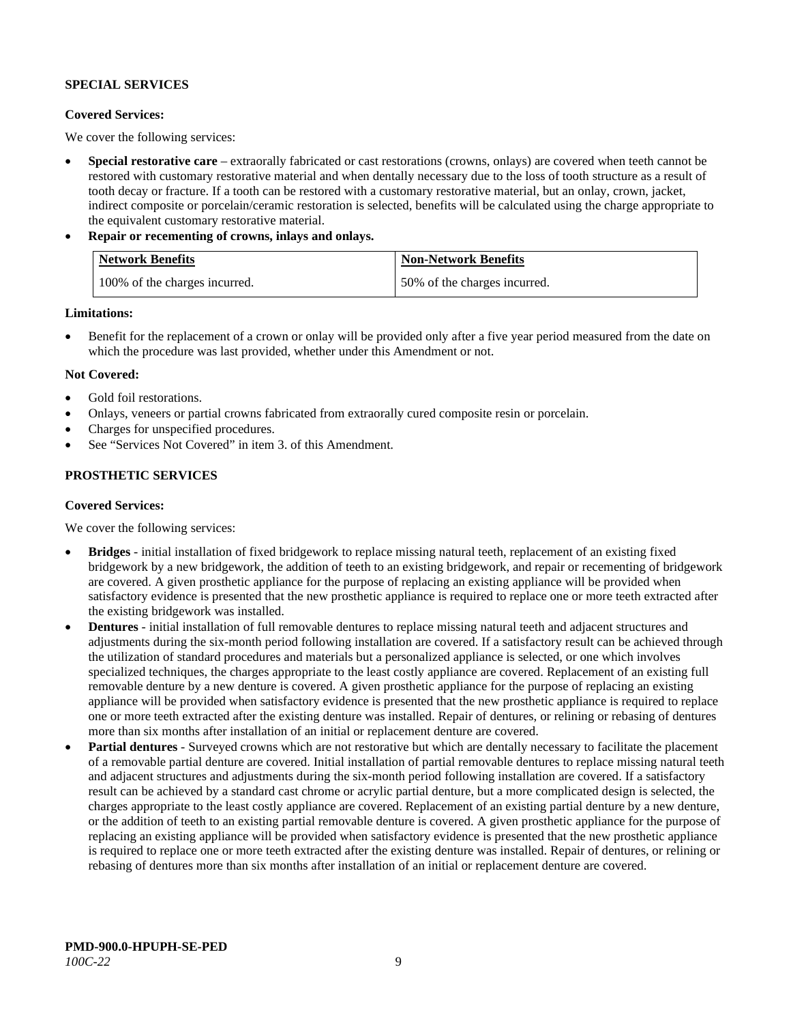## **SPECIAL SERVICES**

## **Covered Services:**

We cover the following services:

- **Special restorative care** extraorally fabricated or cast restorations (crowns, onlays) are covered when teeth cannot be restored with customary restorative material and when dentally necessary due to the loss of tooth structure as a result of tooth decay or fracture. If a tooth can be restored with a customary restorative material, but an onlay, crown, jacket, indirect composite or porcelain/ceramic restoration is selected, benefits will be calculated using the charge appropriate to the equivalent customary restorative material.
- **Repair or recementing of crowns, inlays and onlays.**

| <b>Network Benefits</b>       | <b>Non-Network Benefits</b>  |
|-------------------------------|------------------------------|
| 100% of the charges incurred. | 50% of the charges incurred. |

**Limitations:**

• Benefit for the replacement of a crown or onlay will be provided only after a five year period measured from the date on which the procedure was last provided, whether under this Amendment or not.

## **Not Covered:**

- Gold foil restorations.
- Onlays, veneers or partial crowns fabricated from extraorally cured composite resin or porcelain.
- Charges for unspecified procedures.
- See "Services Not Covered" in item 3. of this Amendment.

## **PROSTHETIC SERVICES**

## **Covered Services:**

We cover the following services:

- **Bridges** initial installation of fixed bridgework to replace missing natural teeth, replacement of an existing fixed bridgework by a new bridgework, the addition of teeth to an existing bridgework, and repair or recementing of bridgework are covered. A given prosthetic appliance for the purpose of replacing an existing appliance will be provided when satisfactory evidence is presented that the new prosthetic appliance is required to replace one or more teeth extracted after the existing bridgework was installed.
- **Dentures** initial installation of full removable dentures to replace missing natural teeth and adjacent structures and adjustments during the six-month period following installation are covered. If a satisfactory result can be achieved through the utilization of standard procedures and materials but a personalized appliance is selected, or one which involves specialized techniques, the charges appropriate to the least costly appliance are covered. Replacement of an existing full removable denture by a new denture is covered. A given prosthetic appliance for the purpose of replacing an existing appliance will be provided when satisfactory evidence is presented that the new prosthetic appliance is required to replace one or more teeth extracted after the existing denture was installed. Repair of dentures, or relining or rebasing of dentures more than six months after installation of an initial or replacement denture are covered.
- **Partial dentures** Surveyed crowns which are not restorative but which are dentally necessary to facilitate the placement of a removable partial denture are covered. Initial installation of partial removable dentures to replace missing natural teeth and adjacent structures and adjustments during the six-month period following installation are covered. If a satisfactory result can be achieved by a standard cast chrome or acrylic partial denture, but a more complicated design is selected, the charges appropriate to the least costly appliance are covered. Replacement of an existing partial denture by a new denture, or the addition of teeth to an existing partial removable denture is covered. A given prosthetic appliance for the purpose of replacing an existing appliance will be provided when satisfactory evidence is presented that the new prosthetic appliance is required to replace one or more teeth extracted after the existing denture was installed. Repair of dentures, or relining or rebasing of dentures more than six months after installation of an initial or replacement denture are covered.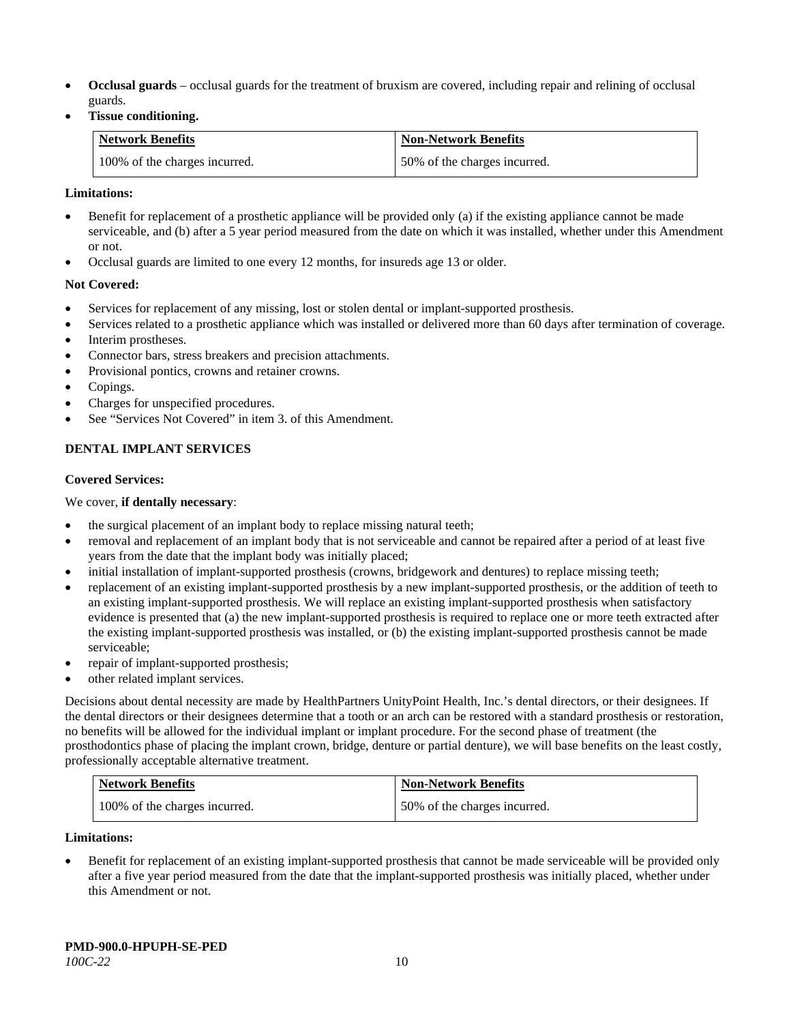- **Occlusal guards** occlusal guards for the treatment of bruxism are covered, including repair and relining of occlusal guards.
- **Tissue conditioning.**

| <b>Network Benefits</b>       | <b>Non-Network Benefits</b>  |
|-------------------------------|------------------------------|
| 100% of the charges incurred. | 50% of the charges incurred. |

## **Limitations:**

- Benefit for replacement of a prosthetic appliance will be provided only (a) if the existing appliance cannot be made serviceable, and (b) after a 5 year period measured from the date on which it was installed, whether under this Amendment or not.
- Occlusal guards are limited to one every 12 months, for insureds age 13 or older.

## **Not Covered:**

- Services for replacement of any missing, lost or stolen dental or implant-supported prosthesis.
- Services related to a prosthetic appliance which was installed or delivered more than 60 days after termination of coverage.
- Interim prostheses.
- Connector bars, stress breakers and precision attachments.
- Provisional pontics, crowns and retainer crowns.
- Copings.
- Charges for unspecified procedures.
- See "Services Not Covered" in item 3. of this Amendment.

## **DENTAL IMPLANT SERVICES**

## **Covered Services:**

## We cover, **if dentally necessary**:

- the surgical placement of an implant body to replace missing natural teeth;
- removal and replacement of an implant body that is not serviceable and cannot be repaired after a period of at least five years from the date that the implant body was initially placed;
- initial installation of implant-supported prosthesis (crowns, bridgework and dentures) to replace missing teeth;
- replacement of an existing implant-supported prosthesis by a new implant-supported prosthesis, or the addition of teeth to an existing implant-supported prosthesis. We will replace an existing implant-supported prosthesis when satisfactory evidence is presented that (a) the new implant-supported prosthesis is required to replace one or more teeth extracted after the existing implant-supported prosthesis was installed, or (b) the existing implant-supported prosthesis cannot be made serviceable;
- repair of implant-supported prosthesis;
- other related implant services.

Decisions about dental necessity are made by HealthPartners UnityPoint Health, Inc.'s dental directors, or their designees. If the dental directors or their designees determine that a tooth or an arch can be restored with a standard prosthesis or restoration, no benefits will be allowed for the individual implant or implant procedure. For the second phase of treatment (the prosthodontics phase of placing the implant crown, bridge, denture or partial denture), we will base benefits on the least costly, professionally acceptable alternative treatment.

| <b>Network Benefits</b>       | <b>Non-Network Benefits</b>  |
|-------------------------------|------------------------------|
| 100% of the charges incurred. | 50% of the charges incurred. |

## **Limitations:**

• Benefit for replacement of an existing implant-supported prosthesis that cannot be made serviceable will be provided only after a five year period measured from the date that the implant-supported prosthesis was initially placed, whether under this Amendment or not.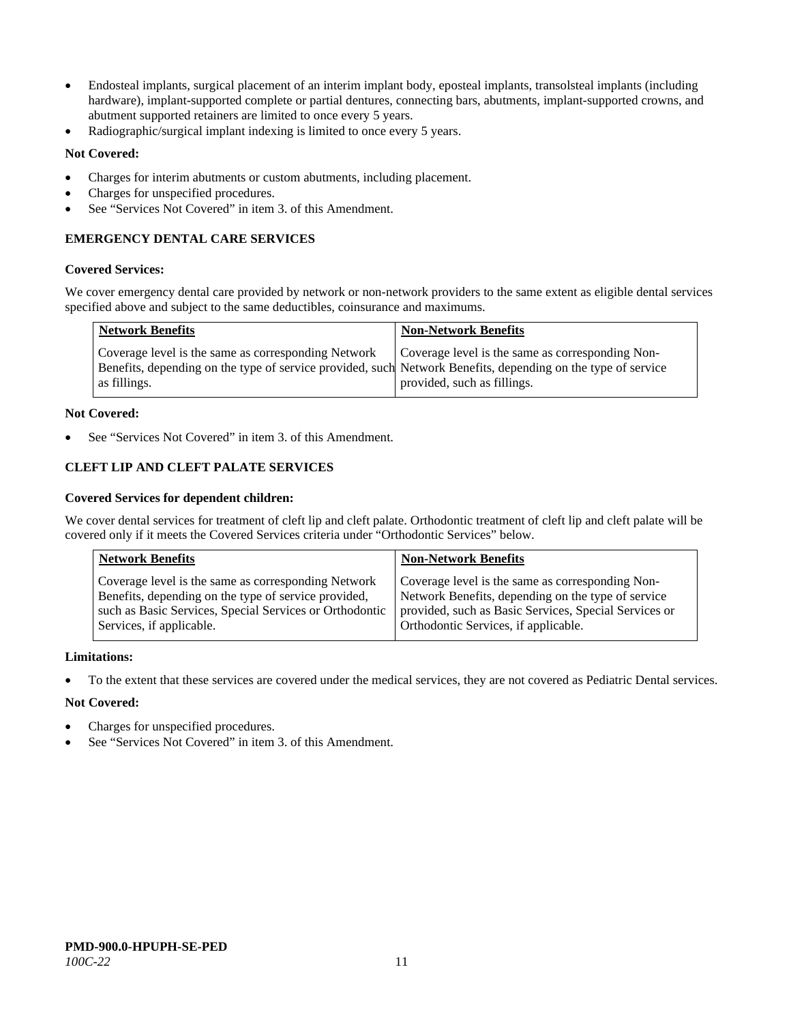- Endosteal implants, surgical placement of an interim implant body, eposteal implants, transolsteal implants (including hardware), implant-supported complete or partial dentures, connecting bars, abutments, implant-supported crowns, and abutment supported retainers are limited to once every 5 years.
- Radiographic/surgical implant indexing is limited to once every 5 years.

## **Not Covered:**

- Charges for interim abutments or custom abutments, including placement.
- Charges for unspecified procedures.
- See "Services Not Covered" in item 3. of this Amendment.

## **EMERGENCY DENTAL CARE SERVICES**

#### **Covered Services:**

We cover emergency dental care provided by network or non-network providers to the same extent as eligible dental services specified above and subject to the same deductibles, coinsurance and maximums.

| <b>Network Benefits</b>                                                                                                                                                             | <b>Non-Network Benefits</b>                                                     |
|-------------------------------------------------------------------------------------------------------------------------------------------------------------------------------------|---------------------------------------------------------------------------------|
| Coverage level is the same as corresponding Network<br>Benefits, depending on the type of service provided, such Network Benefits, depending on the type of service<br>as fillings. | Coverage level is the same as corresponding Non-<br>provided, such as fillings. |

## **Not Covered:**

See "Services Not Covered" in item 3. of this Amendment.

## **CLEFT LIP AND CLEFT PALATE SERVICES**

#### **Covered Services for dependent children:**

We cover dental services for treatment of cleft lip and cleft palate. Orthodontic treatment of cleft lip and cleft palate will be covered only if it meets the Covered Services criteria under "Orthodontic Services" below.

| <b>Network Benefits</b>                                 | <b>Non-Network Benefits</b>                           |
|---------------------------------------------------------|-------------------------------------------------------|
| Coverage level is the same as corresponding Network     | Coverage level is the same as corresponding Non-      |
| Benefits, depending on the type of service provided,    | Network Benefits, depending on the type of service    |
| such as Basic Services, Special Services or Orthodontic | provided, such as Basic Services, Special Services or |
| Services, if applicable.                                | Orthodontic Services, if applicable.                  |

#### **Limitations:**

• To the extent that these services are covered under the medical services, they are not covered as Pediatric Dental services.

## **Not Covered:**

- Charges for unspecified procedures.
- See "Services Not Covered" in item 3. of this Amendment.